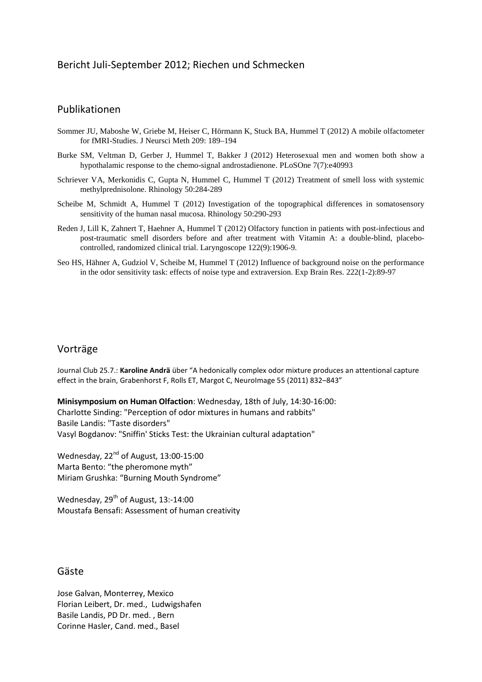## Bericht Juli-September 2012; Riechen und Schmecken

#### Publikationen

- Sommer JU, Maboshe W, Griebe M, Heiser C, Hörmann K, Stuck BA, Hummel T (2012) A mobile olfactometer for fMRI-Studies. J Neursci Meth 209: 189–194
- Burke SM, Veltman D, Gerber J, Hummel T, Bakker J (2012) Heterosexual men and women both show a hypothalamic response to the chemo-signal androstadienone. PLoSOne 7(7):e40993
- Schriever VA, Merkonidis C, Gupta N, Hummel C, Hummel T (2012) Treatment of smell loss with systemic methylprednisolone. Rhinology 50:284-289
- Scheibe M, Schmidt A, Hummel T (2012) Investigation of the topographical differences in somatosensory sensitivity of the human nasal mucosa. Rhinology 50:290-293
- Reden J, Lill K, Zahnert T, Haehner A, Hummel T (2012) Olfactory function in patients with post-infectious and post-traumatic smell disorders before and after treatment with Vitamin A: a double-blind, placebocontrolled, randomized clinical trial. Laryngoscope 122(9):1906-9.
- Seo HS, Hähner A, Gudziol V, Scheibe M, Hummel T (2012) Influence of background noise on the performance in the odor sensitivity task: effects of noise type and extraversion. Exp Brain Res. 222(1-2):89-97

### Vorträge

Journal Club 25.7.: **Karoline Andrä** über "A hedonically complex odor mixture produces an attentional capture effect in the brain, Grabenhorst F, Rolls ET, Margot C, NeuroImage 55 (2011) 832-843"

**Minisymposium on Human Olfaction**: Wednesday, 18th of July, 14:30-16:00: Charlotte Sinding: "Perception of odor mixtures in humans and rabbits" Basile Landis: "Taste disorders" Vasyl Bogdanov: "Sniffin' Sticks Test: the Ukrainian cultural adaptation"

Wednesday,  $22^{nd}$  of August, 13:00-15:00 Marta Bento: "the pheromone myth" Miriam Grushka: "Burning Mouth Syndrome"

Wednesday, 29<sup>th</sup> of August, 13:-14:00 Moustafa Bensafi: Assessment of human creativity

### Gäste

Jose Galvan, Monterrey, Mexico Florian Leibert, Dr. med., Ludwigshafen Basile Landis, PD Dr. med. , Bern Corinne Hasler, Cand. med., Basel